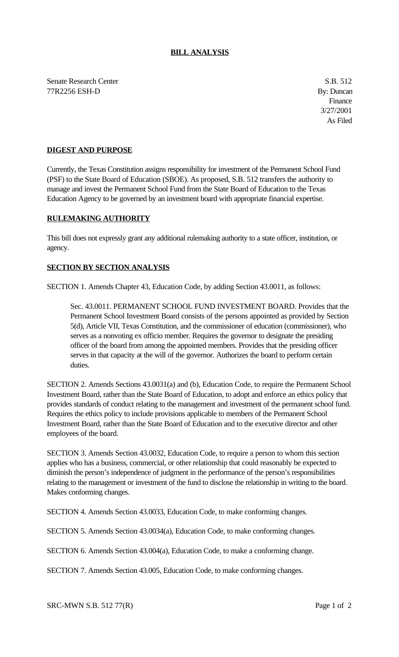## **BILL ANALYSIS**

Senate Research Center S.B. 512 77R2256 ESH-D By: Duncan

Finance 3/27/2001 As Filed

## **DIGEST AND PURPOSE**

Currently, the Texas Constitution assigns responsibility for investment of the Permanent School Fund (PSF) to the State Board of Education (SBOE). As proposed, S.B. 512 transfers the authority to manage and invest the Permanent School Fund from the State Board of Education to the Texas Education Agency to be governed by an investment board with appropriate financial expertise.

## **RULEMAKING AUTHORITY**

This bill does not expressly grant any additional rulemaking authority to a state officer, institution, or agency.

## **SECTION BY SECTION ANALYSIS**

SECTION 1. Amends Chapter 43, Education Code, by adding Section 43.0011, as follows:

Sec. 43.0011. PERMANENT SCHOOL FUND INVESTMENT BOARD. Provides that the Permanent School Investment Board consists of the persons appointed as provided by Section 5(d), Article VII, Texas Constitution, and the commissioner of education (commissioner), who serves as a nonvoting ex officio member. Requires the governor to designate the presiding officer of the board from among the appointed members. Provides that the presiding officer serves in that capacity at the will of the governor. Authorizes the board to perform certain duties.

SECTION 2. Amends Sections 43.0031(a) and (b), Education Code, to require the Permanent School Investment Board, rather than the State Board of Education, to adopt and enforce an ethics policy that provides standards of conduct relating to the management and investment of the permanent school fund. Requires the ethics policy to include provisions applicable to members of the Permanent School Investment Board, rather than the State Board of Education and to the executive director and other employees of the board.

SECTION 3. Amends Section 43.0032, Education Code, to require a person to whom this section applies who has a business, commercial, or other relationship that could reasonably be expected to diminish the person's independence of judgment in the performance of the person's responsibilities relating to the management or investment of the fund to disclose the relationship in writing to the board. Makes conforming changes.

SECTION 4. Amends Section 43.0033, Education Code, to make conforming changes.

SECTION 5. Amends Section 43.0034(a), Education Code, to make conforming changes.

SECTION 6. Amends Section 43.004(a), Education Code, to make a conforming change.

SECTION 7. Amends Section 43.005, Education Code, to make conforming changes.